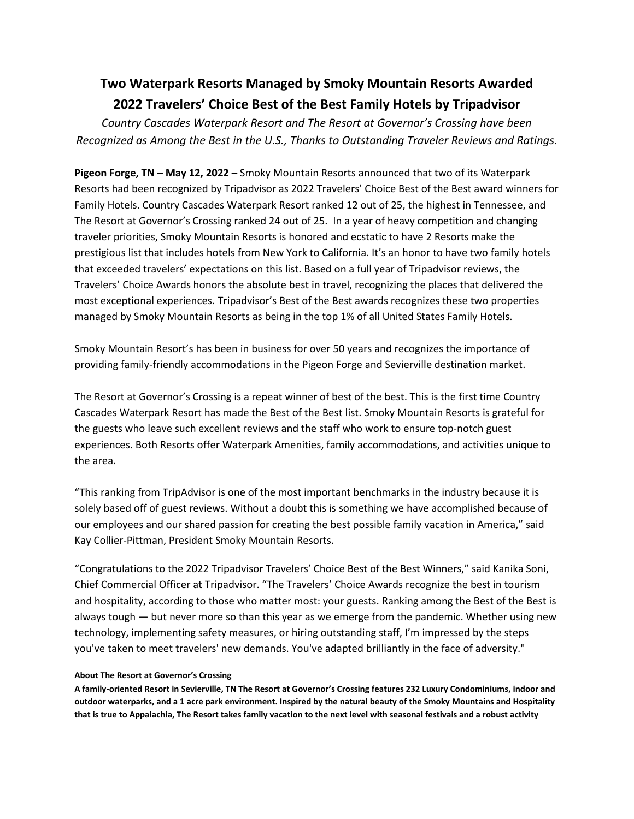## **Two Waterpark Resorts Managed by Smoky Mountain Resorts Awarded 2022 Travelers' Choice Best of the Best Family Hotels by Tripadvisor**

*Country Cascades Waterpark Resort and The Resort at Governor's Crossing have been Recognized as Among the Best in the U.S., Thanks to Outstanding Traveler Reviews and Ratings.*

**Pigeon Forge, TN – May 12, 2022 –** Smoky Mountain Resorts announced that two of its Waterpark Resorts had been recognized by Tripadvisor as 2022 Travelers' Choice Best of the Best award winners for Family Hotels. Country Cascades Waterpark Resort ranked 12 out of 25, the highest in Tennessee, and The Resort at Governor's Crossing ranked 24 out of 25. In a year of heavy competition and changing traveler priorities, Smoky Mountain Resorts is honored and ecstatic to have 2 Resorts make the prestigious list that includes hotels from New York to California. It's an honor to have two family hotels that exceeded travelers' expectations on this list. Based on a full year of Tripadvisor reviews, the Travelers' Choice Awards honors the absolute best in travel, recognizing the places that delivered the most exceptional experiences. Tripadvisor's Best of the Best awards recognizes these two properties managed by Smoky Mountain Resorts as being in the top 1% of all United States Family Hotels.

Smoky Mountain Resort's has been in business for over 50 years and recognizes the importance of providing family-friendly accommodations in the Pigeon Forge and Sevierville destination market.

The Resort at Governor's Crossing is a repeat winner of best of the best. This is the first time Country Cascades Waterpark Resort has made the Best of the Best list. Smoky Mountain Resorts is grateful for the guests who leave such excellent reviews and the staff who work to ensure top-notch guest experiences. Both Resorts offer Waterpark Amenities, family accommodations, and activities unique to the area.

"This ranking from TripAdvisor is one of the most important benchmarks in the industry because it is solely based off of guest reviews. Without a doubt this is something we have accomplished because of our employees and our shared passion for creating the best possible family vacation in America," said Kay Collier-Pittman, President Smoky Mountain Resorts.

"Congratulations to the 2022 Tripadvisor Travelers' Choice Best of the Best Winners," said Kanika Soni, Chief Commercial Officer at Tripadvisor. "The Travelers' Choice Awards recognize the best in tourism and hospitality, according to those who matter most: your guests. Ranking among the Best of the Best is always tough — but never more so than this year as we emerge from the pandemic. Whether using new technology, implementing safety measures, or hiring outstanding staff, I'm impressed by the steps you've taken to meet travelers' new demands. You've adapted brilliantly in the face of adversity."

## **About The Resort at Governor's Crossing**

**A family-oriented Resort in Sevierville, TN The Resort at Governor's Crossing features 232 Luxury Condominiums, indoor and outdoor waterparks, and a 1 acre park environment. Inspired by the natural beauty of the Smoky Mountains and Hospitality that is true to Appalachia, The Resort takes family vacation to the next level with seasonal festivals and a robust activity**